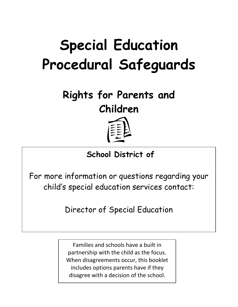# **Special Education Procedural Safeguards**

**Rights for Parents and**

**Children**



# **School District of**

For more information or questions regarding your child's special education services contact:

Director of Special Education

Families and schools have a built in partnership with the child as the focus. When disagreements occur, this booklet includes options parents have if they disagree with a decision of the school.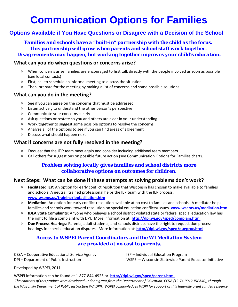# **Communication Options for Families**

### **Options Available if You Have Questions or Disagree with a Decision of the School**

*Families and schools have a "built-in" partnership with the child as the focus. This partnership will grow when parents and school staff work together. Disagreements may happen, but working together improves your child's education.* 

#### **What can you do when questions or concerns arise?**

- ◊ When concerns arise, families are encouraged to first talk directly with the people involved as soon as possible (see local contacts)
- ◊ First, call to schedule an informal meeting to discuss the situation
- ◊ Then, prepare for the meeting by making a list of concerns and some possible solutions

#### **What can you do in the meeting?**

- ◊ See if you can agree on the concerns that must be addressed
- ◊ Listen actively to understand the other person's perspective
- ◊ Communicate your concerns clearly
- ◊ Ask questions or restate so you and others are clear in your understanding
- ◊ Work together to suggest some possible options to resolve the concerns
- ◊ Analyze all of the options to see if you can find areas of agreement
- ◊ Discuss what should happen next

#### **What if concerns are not fully resolved in the meeting?**

- ◊ Request that the IEP team meet again and consider including additional team members.
- ◊ Call others for suggestions on possible future action (see Communication Options for Families chart).

#### *Problem solving locally gives families and school districts more collaborative options on outcomes for children.*

#### **Next Steps: What can be done if these attempts at solving problems don't work?**

- ◊ **Facilitated IEP**: An option for early conflict resolution that Wisconsin has chosen to make available to families and schools. A neutral, trained professional helps the IEP team with the IEP process. **[www.wsems.us/training/iepfaciliation.htm](http://www.wsems.us/training/iepfaciliation.htm)**
- ◊ **Mediation:** An option for early conflict resolution available at no cost to families and schools. A mediator helps families and schools work toward resolution on special education conflicts/issues. **[www.wsems.us/mediation.htm](http://www.wsems.us/mediation.htm)**
- ◊ **IDEA State Complaints**: Anyone who believes a school district violated state or federal special education law has the right to file a complaint with DPI. More information at: **<http://dpi.wi.gov/sped/complain.html>**
- ◊ **Due Process Hearings**: Parents, adult students, and schools districts have the right to request due process hearings for special education disputes. More information at: **<http://dpi.wi.gov/sped/dueproc.html>**

#### *Access to WSPEI Parent Coordinators and the WI Mediation System are provided at no cost to parents.*

CESA – Cooperative Educational Service Agency IEP – Individual Education Program

DPI – Department of Public Instruction WSPEI – Wisconsin Statewide Parent Educator Initiative

Developed by WSPEI, 2011.

WSPEI information can be found at 1-877-844-4925 or **<http://dpi.wi.gov/sped/parent.html>** *The contents of this product were developed under a grant from the Department of Education, CFDA (12-74-9912-IDEA40), through the Wisconsin Department of Public Instruction (WI DPI). WSPEI acknowledges WDPI for support of this federally grant funded resource.*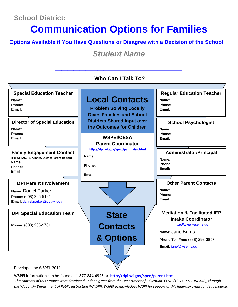## **School District:**

# **Communication Options for Families**

### **Options Available if You Have Questions or Disagree with a Decision of the School**

# *Student Name*

**\_\_\_\_\_\_\_\_\_\_\_\_\_\_\_\_\_\_\_\_\_**



Developed by WSPEI, 2011.

WSPEI information can be found at 1-877-844-4925 or **<http://dpi.wi.gov/sped/parent.html>** *The contents of this product were developed under a grant from the Department of Education, CFDA (12-74-9912-IDEA40), through the Wisconsin Department of Public Instruction (WI DPI). WSPEI acknowledges WDPI for support of this federally grant funded resource.*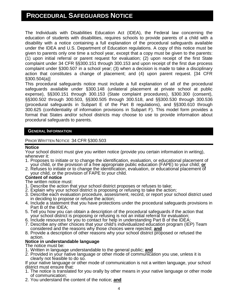### **PROCEDURAL SAFEGUARDS NOTICE**

The Individuals with Disabilities Education Act (IDEA), the Federal law concerning the education of students with disabilities, requires schools to provide parents of a child with a disability with a notice containing a full explanation of the procedural safeguards available under the IDEA and U.S. Department of Education regulations. A copy of this notice must be given to parents only one time a school year, except that a copy must be given to the parents: (1) upon initial referral or parent request for evaluation; (2) upon receipt of the first State complaint under 34 CFR §§300.151 through 300.153 and upon receipt of the first due process complaint under §300.507 in a school year; (3) when a decision is made to take a disciplinary action that constitutes a change of placement; and (4) upon parent request. [34 CFR §300.504(a)]

This procedural safeguards notice must include a full explanation of all of the procedural safeguards available under §300.148 (unilateral placement at private school at public expense), §§300.151 through 300.153 (State complaint procedures), §300.300 (consent), §§300.502 through 300.503, §§300.505 through 300.518, and §§300.530 through 300.536 (procedural safeguards in Subpart E of the Part B regulations), and §§300.610 through 300.625 (confidentiality of information provisions in Subpart F). This model form provides a format that States and/or school districts may choose to use to provide information about procedural safeguards to parents.

#### **GENERAL INFORMATION**

PRIOR WRITTEN NOTICE 34 CFR §300.503

#### **Notice**

Your school district must give you written notice (provide you certain information in writing), whenever it:

- 1. Proposes to initiate or to change the identification, evaluation, or educational placement of your child, or the provision of a free appropriate public education (FAPE) to your child; **or**
- 2. Refuses to initiate or to change the identification, evaluation, or educational placement of your child, or the provision of FAPE to your child.

#### **Content of notice**

The written notice must:

- 1. Describe the action that your school district proposes or refuses to take;
- 2. Explain why your school district is proposing or refusing to take the action;
- 3. Describe each evaluation procedure, assessment, record, or report your school district used in deciding to propose or refuse the action;
- 4. Include a statement that you have protections under the procedural safeguards provisions in Part B of the IDEA;
- 5. Tell you how you can obtain a description of the procedural safeguards if the action that your school district is proposing or refusing is not an initial referral for evaluation;
- 6. Include resources for you to contact for help in understanding Part B of the IDEA;
- 7. Describe any other choices that your child's individualized education program (IEP) Team considered and the reasons why those choices were rejected; **and**
- 8. Provide a description of other reasons why your school district proposed or refused the action.

#### **Notice in understandable language**

The notice must be:

- 1. Written in language understandable to the general public; **and**
- 2. Provided in your native language or other mode of communication you use, unless it is clearly not feasible to do so.

If your native language or other mode of communication is not a written language, your school district must ensure that:

- 1. The notice is translated for you orally by other means in your native language or other mode of communication;
- 2. You understand the content of the notice; **and**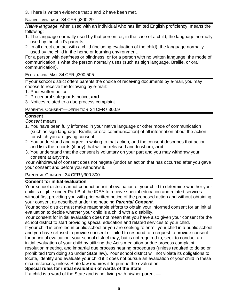3. There is written evidence that 1 and 2 have been met.

#### NATIVE LANGUAGE 34 CFR §300.29

*Native language,* when used with an individual who has limited English proficiency, means the following:

- 1. The language normally used by that person, or, in the case of a child, the language normally used by the child's parents;
- 2. In all direct contact with a child (including evaluation of the child), the language normally used by the child in the home or learning environment.

For a person with deafness or blindness, or for a person with no written language, the mode of communication is what the person normally uses (such as sign language, Braille, or oral communication).

#### ELECTRONIC MAIL 34 CFR §300.505

If your school district offers parents the choice of receiving documents by e-mail, you may choose to receive the following by e-mail:

- 1. Prior written notice;
- 2. Procedural safeguards notice; **and**
- 3. Notices related to a due process complaint.

#### PARENTAL CONSENT—DEFINITION 34 CFR §300.9

#### **Consent**

*Consent* means:

- 1. You have been fully informed in your native language or other mode of communication (such as sign language, Braille, or oral communication) of all information about the action for which you are giving consent.
- 2. You understand and agree in writing to that action, and the consent describes that action and lists the records (if any) that will be released and to whom; **and**
- 3. You understand that the consent is voluntary on your part and you may withdraw your consent at anytime.

Your withdrawal of consent does not negate (undo) an action that has occurred after you gave your consent and before you withdrew it.

#### PARENTAL CONSENT 34 CFR §300.300

#### **Consent for initial evaluation**

Your school district cannot conduct an initial evaluation of your child to determine whether your child is eligible under Part B of the IDEA to receive special education and related services without first providing you with prior written notice of the proposed action and without obtaining your consent as described under the heading *Parental Consent.*

Your school district must make reasonable efforts to obtain your informed consent for an initial evaluation to decide whether your child is a child with a disability.

Your consent for initial evaluation does not mean that you have also given your consent for the school district to start providing special education and related services to your child.

If your child is enrolled in public school or you are seeking to enroll your child in a public school and you have refused to provide consent or failed to respond to a request to provide consent for an initial evaluation, your school district may, but is not required to, seek to conduct an initial evaluation of your child by utilizing the Act's mediation or due process complaint,

resolution meeting, and impartial due process hearing procedures (unless required to do so or prohibited from doing so under State law). Your school district will not violate its obligations to locate, identify and evaluate your child if it does not pursue an evaluation of your child in these circumstances, unless State law requires it to pursue the evaluation.

#### **Special rules for initial evaluation of wards of the State**

If a child is a ward of the State and is not living with his/her parent —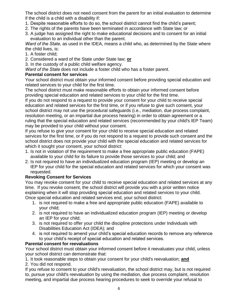The school district does not need consent from the parent for an initial evaluation to determine if the child is a child with a disability if:

- 1. Despite reasonable efforts to do so, the school district cannot find the child's parent;
- 2. The rights of the parents have been terminated in accordance with State law; or
- 3. A judge has assigned the right to make educational decisions and to consent for an initial evaluation to an individual other than the parent.

*Ward of the State*, as used in the IDEA, means a child who, as determined by the State where the child lives, is:

- 1. A foster child;
- 2. Considered a ward of the State under State law; **or**

3. In the custody of a public child welfare agency.

*Ward of the State* does not include a foster child who has a foster parent.

#### **Parental consent for services**

Your school district must obtain your informed consent before providing special education and related services to your child for the first time.

The school district must make reasonable efforts to obtain your informed consent before providing special education and related services to your child for the first time.

If you do not respond to a request to provide your consent for your child to receive special education and related services for the first time, or if you refuse to give such consent, your school district may not use the procedural safeguards (i.e., mediation, due process complaint, resolution meeting, or an impartial due process hearing) in order to obtain agreement or a ruling that the special education and related services (recommended by your child's IEP Team) may be provided to your child without your consent.

If you refuse to give your consent for your child to receive special education and related services for the first time, or if you do not respond to a request to provide such consent and the school district does not provide your child with the special education and related services for which it sought your consent, your school district:

- 1. Is not in violation of the requirement to make a free appropriate public education (FAPE) available to your child for its failure to provide those services to your child; and
- 2. Is not required to have an individualized education program (IEP) meeting or develop an IEP for your child for the special education and related services for which your consent was requested.

#### **Revoking Consent for Services**

You may revoke consent for your child to receive special education and related services at any time. If you revoke consent, the school district will provide you with a prior written notice explaining when it will stop providing special education and related services to your child. Once special education and related services end, your school district:

- 1. is not required to make a free and appropriate public education (FAPE) available to your child;
- 2. is not required to have an individualized education program (IEP) meeting or develop an IEP for your child;
- 3. is not required to offer your child the discipline protections under Individuals with Disabilities Education Act (IDEA); and
- 4. is not required to amend your child's special education records to remove any reference to your child's receipt of special education and related services.

#### **Parental consent for reevaluations**

Your school district must obtain your informed consent before it reevaluates your child, unless your school district can demonstrate that:

1. It took reasonable steps to obtain your consent for your child's reevaluation; **and**

2. You did not respond.

If you refuse to consent to your child's reevaluation, the school district may, but is not required to, pursue your child's reevaluation by using the mediation, due process complaint, resolution meeting, and impartial due process hearing procedures to seek to override your refusal to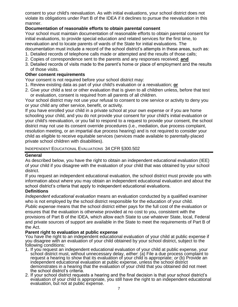consent to your child's reevaluation. As with initial evaluations, your school district does not violate its obligations under Part B of the IDEA if it declines to pursue the reevaluation in this manner.

#### **Documentation of reasonable efforts to obtain parental consent**

Your school must maintain documentation of reasonable efforts to obtain parental consent for initial evaluations, to provide special education and related services for the first time, to reevaluation and to locate parents of wards of the State for initial evaluations. The documentation must include a record of the school district's attempts in these areas, such as:

- 1. Detailed records of telephone calls made or attempted and the results of those calls;
- 2. Copies of correspondence sent to the parents and any responses received; **and**
- 3. Detailed records of visits made to the parent's home or place of employment and the results of those visits.

#### **Other consent requirements**

Your consent is not required before your school district may:

- 1. Review existing data as part of your child's evaluation or a reevaluation; **or**
- 2. Give your child a test or other evaluation that is given to all children unless, before that test or evaluation, consent is required from all parents of all children.

Your school district may not use your refusal to consent to one service or activity to deny you or your child any other service, benefit, or activity.

If you have enrolled your child in a private school at your own expense or if you are home schooling your child, and you do not provide your consent for your child's initial evaluation or your child's reevaluation, or you fail to respond to a request to provide your consent, the school district may not use its consent override procedures (i.e., mediation, due process complaint, resolution meeting, or an impartial due process hearing) and is not required to consider your child as eligible to receive equitable services (services made available to parentally-placed private school children with disabilities).

#### INDEPENDENT EDUCATIONAL EVALUATIONS 34 CFR §300.502

#### **General**

As described below, you have the right to obtain an independent educational evaluation (IEE) of your child if you disagree with the evaluation of your child that was obtained by your school district.

If you request an independent educational evaluation, the school district must provide you with information about where you may obtain an independent educational evaluation and about the school district's criteria that apply to independent educational evaluations.

#### **Definitions**

*Independent educational evaluation* means an evaluation conducted by a qualified examiner who is not employed by the school district responsible for the education of your child.

*Public expense* means that the school district either pays for the full cost of the evaluation or ensures that the evaluation is otherwise provided at no cost to you, consistent with the provisions of Part B of the IDEA, which allow each State to use whatever State, local, Federal and private sources of support are available in the State to meet the requirements of Part B of the Act.

#### **Parent right to evaluation at public expense**

You have the right to an independent educational evaluation of your child at public expense if you disagree with an evaluation of your child obtained by your school district, subject to the following conditions:

- 1. If you request an independent educational evaluation of your child at public expense, your school district must, without unnecessary delay, *either*: (a) File a due process complaint to request a hearing to show that its evaluation of your child is appropriate; *or* (b) Provide an independent educational evaluation at public expense, unless the school district demonstrates in a hearing that the evaluation of your child that you obtained did not meet the school district's criteria.
- 2. If your school district requests a hearing and the final decision is that your school district's evaluation of your child is appropriate, you still have the right to an independent educational evaluation, but not at public expense.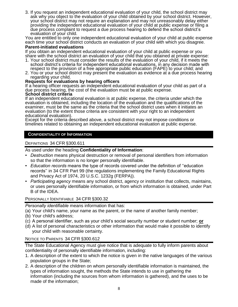3. If you request an independent educational evaluation of your child, the school district may ask why you object to the evaluation of your child obtained by your school district. However, your school district may not require an explanation and may not unreasonably delay either providing the independent educational evaluation of your child at public expense or filing a due process complaint to request a due process hearing to defend the school district's evaluation of your child.

You are entitled to only one independent educational evaluation of your child at public expense each time your school district conducts an evaluation of your child with which you disagree.

#### **Parent-initiated evaluations**

If you obtain an independent educational evaluation of your child at public expense or you share with the school district an evaluation of your child that you obtained at private expense:

- 1. Your school district must consider the results of the evaluation of your child, if it meets the school district's criteria for independent educational evaluations, in any decision made with respect to the provision of a free appropriate public education (FAPE) to your child; and
- 2. You or your school district may present the evaluation as evidence at a due process hearing regarding your child.

#### **Requests for evaluations by hearing officers**

If a hearing officer requests an independent educational evaluation of your child as part of a due process hearing, the cost of the evaluation must be at public expense.

#### **School district criteria**

If an independent educational evaluation is at public expense, the criteria under which the evaluation is obtained, including the location of the evaluation and the qualifications of the examiner, must be the same as the criteria that the school district uses when it initiates an evaluation (to the extent those criteria are consistent with your right to an independent educational evaluation).

Except for the criteria described above, a school district may not impose conditions or timelines related to obtaining an independent educational evaluation at public expense.

#### **CONFIDENTIALITY OF INFORMATION**

DEFINITIONS 34 CFR §300.611

As used under the heading **Confidentiality of Information**:

- *Destruction* means physical destruction or removal of personal identifiers from information so that the information is no longer personally identifiable.
- *Education records* means the type of records covered under the definition of "education" records'' in 34 CFR Part 99 (the regulations implementing the Family Educational Rights and Privacy Act of 1974, 20 U.S.C. 1232g (FERPA)).
- *Participating agency* means any school district, agency or institution that collects, maintains, or uses personally identifiable information, or from which information is obtained, under Part B of the IDEA.

#### PERSONALLY IDENTIFIABLE 34 CFR §300.32

*Personally identifiable* means information that has:

- (a) Your child's name, your name as the parent, or the name of another family member;
- (b) Your child's address;
- (c) A personal identifier, such as your child's social security number or student number; **or**
- (d) A list of personal characteristics or other information that would make it possible to identify your child with reasonable certainty.

#### NOTICE TO PARENTS 34 CFR §300.612

The State Educational Agency must give notice that is adequate to fully inform parents about confidentiality of personally identifiable information, including:

- 1. A description of the extent to which the notice is given in the native languages of the various population groups in the State;
- 2. A description of the children on whom personally identifiable information is maintained, the types of information sought, the methods the State intends to use in gathering the information (including the sources from whom information is gathered), and the uses to be made of the information;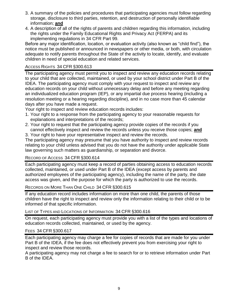- 3. A summary of the policies and procedures that participating agencies must follow regarding storage, disclosure to third parties, retention, and destruction of personally identifiable information; **and**
- 4. A description of all of the rights of parents and children regarding this information, including the rights under the Family Educational Rights and Privacy Act (FERPA) and its implementing regulations in 34 CFR Part 99.

Before any major identification, location, or evaluation activity (also known as "child find"), the notice must be published or announced in newspapers or other media, or both, with circulation adequate to notify parents throughout the State of the activity to locate, identify, and evaluate children in need of special education and related services.

#### ACCESS RIGHTS 34 CFR §300.613

The participating agency must permit you to inspect and review any education records relating to your child that are collected, maintained, or used by your school district under Part B of the IDEA. The participating agency must comply with your request to inspect and review any education records on your child without unnecessary delay and before any meeting regarding an individualized education program (IEP), or any impartial due process hearing (including a resolution meeting or a hearing regarding discipline), and in no case more than 45 calendar days after you have made a request.

Your right to inspect and review education records includes:

- 1. Your right to a response from the participating agency to your reasonable requests for explanations and interpretations of the records;
- 2. Your right to request that the participating agency provide copies of the records if you cannot effectively inspect and review the records unless you receive those copies; **and**
- 3. Your right to have your representative inspect and review the records.

The participating agency may presume that you have authority to inspect and review records relating to your child unless advised that you do not have the authority under applicable State law governing such matters as guardianship, or separation and divorce.

#### RECORD OF ACCESS 34 CFR §300.614

Each participating agency must keep a record of parties obtaining access to education records collected, maintained, or used under Part B of the IDEA (except access by parents and authorized employees of the participating agency), including the name of the party, the date access was given, and the purpose for which the party is authorized to use the records.

RECORDS ON MORE THAN ONE CHILD 34 CFR §300.615

If any education record includes information on more than one child, the parents of those children have the right to inspect and review only the information relating to their child or to be informed of that specific information.

#### LIST OF TYPES AND LOCATIONS OF INFORMATION 34 CFR §300.616

On request, each participating agency must provide you with a list of the types and locations of education records collected, maintained, or used by the agency.

#### FEES 34 CFR §300.617

Each participating agency may charge a fee for copies of records that are made for you under Part B of the IDEA, if the fee does not effectively prevent you from exercising your right to inspect and review those records.

A participating agency may not charge a fee to search for or to retrieve information under Part B of the IDEA.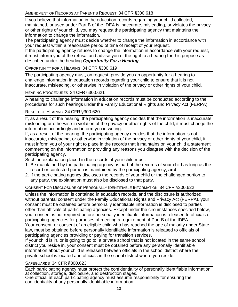If you believe that information in the education records regarding your child collected, maintained, or used under Part B of the IDEA is inaccurate, misleading, or violates the privacy or other rights of your child, you may request the participating agency that maintains the information to change the information.

The participating agency must decide whether to change the information in accordance with your request within a reasonable period of time of receipt of your request.

If the participating agency refuses to change the information in accordance with your request, it must inform you of the refusal and advise you of the right to a hearing for this purpose as described under the heading *Opportunity For a Hearing.* 

#### OPPORTUNITY FOR A HEARING 34 CFR §300.619

The participating agency must, on request, provide you an opportunity for a hearing to challenge information in education records regarding your child to ensure that it is not inaccurate, misleading, or otherwise in violation of the privacy or other rights of your child.

#### HEARING PROCEDURES 34 CFR §300.621

A hearing to challenge information in education records must be conducted according to the procedures for such hearings under the Family Educational Rights and Privacy Act (FERPA).

#### RESULT OF HEARING 34 CFR §300.620

If, as a result of the hearing, the participating agency decides that the information is inaccurate, misleading or otherwise in violation of the privacy or other rights of the child, it must change the information accordingly and inform you in writing.

If, as a result of the hearing, the participating agency decides that the information is not inaccurate, misleading, or otherwise in violation of the privacy or other rights of your child, it must inform you of your right to place in the records that it maintains on your child a statement commenting on the information or providing any reasons you disagree with the decision of the participating agency.

Such an explanation placed in the records of your child must:

- 1. Be maintained by the participating agency as part of the records of your child as long as the record or contested portion is maintained by the participating agency; **and**
- 2. If the participating agency discloses the records of your child or the challenged portion to any party, the explanation must also be disclosed to that party.

#### CONSENT FOR DISCLOSURE OF PERSONALLY IDENTIFIABLE INFORMATION 34 CFR §300.622

Unless the information is contained in education records, and the disclosure is authorized without parental consent under the Family Educational Rights and Privacy Act (FERPA), your consent must be obtained before personally identifiable information is disclosed to parties other than officials of participating agencies. Except under the circumstances specified below, your consent is not required before personally identifiable information is released to officials of participating agencies for purposes of meeting a requirement of Part B of the IDEA. Your consent, or consent of an eligible child who has reached the age of majority under State law, must be obtained before personally identifiable information is released to officials of participating agencies providing or paying for transition services.

If your child is in, or is going to go to, a private school that is not located in the same school district you reside in, your consent must be obtained before any personally identifiable information about your child is released between officials in the school district where the private school is located and officials in the school district where you reside.

#### SAFEGUARDS 34 CFR §300.623

Each participating agency must protect the confidentiality of personally identifiable information at collection, storage, disclosure, and destruction stages. One official at each participating agency must assume responsibility for ensuring the confidentiality of any personally identifiable information.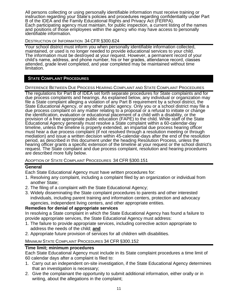All persons collecting or using personally identifiable information must receive training or instruction regarding your State's policies and procedures regarding confidentiality under Part B of the IDEA and the Family Educational Rights and Privacy Act (FERPA). Each participating agency must maintain, for public inspection, a current listing of the names and positions of those employees within the agency who may have access to personally identifiable information.

#### DESTRUCTION OF INFORMATION 34 CFR §300.624

Your school district must inform you when personally identifiable information collected, maintained, or used is no longer needed to provide educational services to your child. The information must be destroyed at your request. However, a permanent record of your child's name, address, and phone number, his or her grades, attendance record, classes attended, grade level completed, and year completed may be maintained without time limitation.

#### **STATE COMPLAINT PROCEDURES**

#### DIFFERENCE BETWEEN DUE PROCESS HEARING COMPLAINT AND STATE COMPLAINT PROCEDURES

The regulations for Part B of IDEA set forth separate procedures for State complaints and for due process complaints and hearings. As explained below, any individual or organization may file a State complaint alleging a violation of any Part B requirement by a school district, the State Educational Agency, or any other public agency. Only you or a school district may file a due process complaint on any matter relating to a proposal or a refusal to initiate or change the identification, evaluation or educational placement of a child with a disability, or the provision of a free appropriate public education (FAPE) to the child. While staff of the State Educational Agency generally must resolve a State complaint within a 60-calendar-day timeline, unless the timeline is properly extended, an impartial due process hearing officer must hear a due process complaint (if not resolved through a resolution meeting or through mediation) and issue a written decision within 45-calendar-days after the end of the resolution period, as described in this document under the heading Resolution Process, unless the hearing officer grants a specific extension of the timeline at your request or the school district's request. The State complaint and due process complaint, resolution and hearing procedures are described more fully below.

ADOPTION OF STATE COMPLAINT PROCEDURES 34 CFR §300.151

#### **General**

Each State Educational Agency must have written procedures for:

- 1. Resolving any complaint, including a complaint filed by an organization or individual from another State;
- 2. The filing of a complaint with the State Educational Agency;
- 3. Widely disseminating the State complaint procedures to parents and other interested individuals, including parent training and information centers, protection and advocacy agencies, independent living centers, and other appropriate entities.

#### **Remedies for denial of appropriate services**

In resolving a State complaint in which the State Educational Agency has found a failure to provide appropriate services, the State Educational Agency must address:

- 1. The failure to provide appropriate services, including corrective action appropriate to address the needs of the child; **and**
- 2. Appropriate future provision of services for all children with disabilities.

#### MINIMUM STATE COMPLAINT PROCEDURES 34 CFR §300.152

#### **Time limit; minimum procedures**

Each State Educational Agency must include in its State complaint procedures a time limit of 60 calendar days after a complaint is filed to:

- 1. Carry out an independent on-site investigation, if the State Educational Agency determines that an investigation is necessary;
- 2. Give the complainant the opportunity to submit additional information, either orally or in writing, about the allegations in the complaint;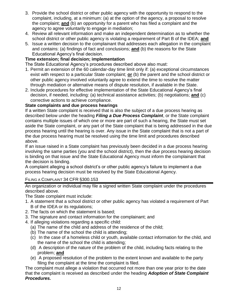- 3. Provide the school district or other public agency with the opportunity to respond to the complaint, including, at a minimum: (a) at the option of the agency, a proposal to resolve the complaint; **and** (b) an opportunity for a parent who has filed a complaint and the agency to agree voluntarily to engage in mediation;
- 4. Review all relevant information and make an independent determination as to whether the school district or other public agency is violating a requirement of Part B of the IDEA; **and**
- 5. Issue a written decision to the complainant that addresses each allegation in the complaint and contains: (a) findings of fact and conclusions; **and** (b) the reasons for the State Educational Agency's final decision.

#### **Time extension; final decision; implementation**

The State Educational Agency's procedures described above also must:

- 1. Permit an extension of the 60 calendar-day time limit only if: (a) exceptional circumstances exist with respect to a particular State complaint; **or** (b) the parent and the school district or other public agency involved voluntarily agree to extend the time to resolve the matter through mediation or alternative means of dispute resolution, if available in the State.
- 2. Include procedures for effective implementation of the State Educational Agency's final decision, if needed, including: (a) technical assistance activities; (b) negotiations; **and** (c) corrective actions to achieve compliance.

#### **State complaints and due process hearings**

If a written State complaint is received that is also the subject of a due process hearing as described below under the heading *Filing a Due Process Complaint*, or the State complaint contains multiple issues of which one or more are part of such a hearing, the State must set aside the State complaint, or any part of the State complaint that is being addressed in the due process hearing until the hearing is over. Any issue in the State complaint that is not a part of the due process hearing must be resolved using the time limit and procedures described above.

If an issue raised in a State complaint has previously been decided in a due process hearing involving the same parties (you and the school district), then the due process hearing decision is binding on that issue and the State Educational Agency must inform the complainant that the decision is binding.

A complaint alleging a school district's or other public agency's failure to implement a due process hearing decision must be resolved by the State Educational Agency.

#### FILING A COMPLAINT 34 CFR §300.153

An organization or individual may file a signed written State complaint under the procedures described above.

The State complaint must include:

- 1. A statement that a school district or other public agency has violated a requirement of Part B of the IDEA or its regulations;
- 2. The facts on which the statement is based;
- 3. The signature and contact information for the complainant; and
- 4. If alleging violations regarding a specific child:
	- (a) The name of the child and address of the residence of the child;
	- (b) The name of the school the child is attending;
	- (c) In the case of a homeless child or youth, available contact information for the child, and the name of the school the child is attending;
	- (d) A description of the nature of the problem of the child, including facts relating to the problem; **and**
	- (e) A proposed resolution of the problem to the extent known and available to the party filing the complaint at the time the complaint is filed.

The complaint must allege a violation that occurred not more than one year prior to the date that the complaint is received as described under the heading *Adoption of State Complaint Procedures.*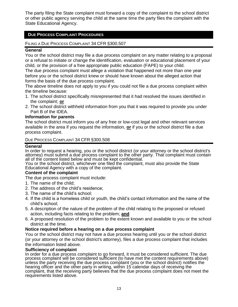The party filing the State complaint must forward a copy of the complaint to the school district or other public agency serving the child at the same time the party files the complaint with the State Educational Agency.

#### **DUE PROCESS COMPLAINT PROCEDURES**

FILING A DUE PROCESS COMPLAINT 34 CFR §300.507

#### **General**

You or the school district may file a due process complaint on any matter relating to a proposal or a refusal to initiate or change the identification, evaluation or educational placement of your child, or the provision of a free appropriate public education (FAPE) to your child.

The due process complaint must allege a violation that happened not more than one year before you or the school district knew or should have known about the alleged action that forms the basis of the due process complaint.

The above timeline does not apply to you if you could not file a due process complaint within the timeline because:

- 1. The school district specifically misrepresented that it had resolved the issues identified in the complaint; **or**
- 2. The school district withheld information from you that it was required to provide you under Part B of the IDEA.

#### **Information for parents**

The school district must inform you of any free or low-cost legal and other relevant services available in the area if you request the information, **or** if you or the school district file a due process complaint.

#### DUE PROCESS COMPLAINT 34 CFR §300.508

#### **General**

In order to request a hearing, you or the school district (or your attorney or the school district's attorney) must submit a due process complaint to the other party. That complaint must contain all of the content listed below and must be kept confidential.

You or the school district, whichever one filed the complaint, must also provide the State Educational Agency with a copy of the complaint.

#### **Content of the complaint**

The due process complaint must include:

- 1. The name of the child;
- 2. The address of the child's residence;
- 3. The name of the child's school;
- 4. If the child is a homeless child or youth, the child's contact information and the name of the child's school;
- 5. A description of the nature of the problem of the child relating to the proposed or refused action, including facts relating to the problem; **and**
- 6. A proposed resolution of the problem to the extent known and available to you or the school district at the time.

#### **Notice required before a hearing on a due process complaint**

You or the school district may not have a due process hearing until you or the school district (or your attorney or the school district's attorney), files a due process complaint that includes the information listed above.

#### **Sufficiency of complaint**

In order for a due process complaint to go forward, it must be considered sufficient. The due process complaint will be considered sufficient (to have met the content requirements above) unless the party receiving the due process complaint (you or the school district) notifies the hearing officer and the other party in writing, within 15 calendar days of receiving the complaint, that the receiving party believes that the due process complaint does not meet the requirements listed above.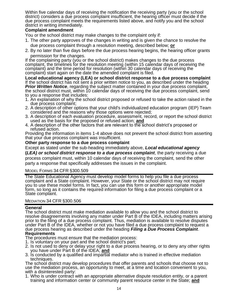Within five calendar days of receiving the notification the receiving party (you or the school district) considers a due process complaint insufficient, the hearing officer must decide if the due process complaint meets the requirements listed above, and notify you and the school district in writing immediately.

#### **Complaint amendment**

You or the school district may make changes to the complaint only if:

- 1. The other party approves of the changes in writing and is given the chance to resolve the due process complaint through a resolution meeting, described below; **or**
- 2. By no later than five days before the due process hearing begins, the hearing officer grants permission for the changes.

If the complaining party (you or the school district) makes changes to the due process complaint, the timelines for the resolution meeting (within 15 calendar days of receiving the complaint) and the time period for resolution (within 30 calendar days of receiving the complaint) start again on the date the amended complaint is filed.

**Local educational agency (LEA) or school district response to a due process complaint**  If the school district has not sent a prior written notice to you, as described under the heading **Prior Written Notice**, regarding the subject matter contained in your due process complaint, the school district must, within 10 calendar days of receiving the due process complaint, send to you a response that includes:

- 1. An explanation of why the school district proposed or refused to take the action raised in the due process complaint;
- 2. A description of other options that your child's individualized education program (IEP) Team considered and the reasons why those options were rejected;
- 3. A description of each evaluation procedure, assessment, record, or report the school district used as the basis for the proposed or refused action; **and**
- 4. A description of the other factors that are relevant to the school district's proposed or refused action.

Providing the information in items 1-4 above does not prevent the school district from asserting that your due process complaint was insufficient.

#### **Other party response to a due process complaint**

Except as stated under the sub-heading immediately above, *Local educational agency* **(***LEA) or school district response to a due process complaint*, the party receiving a due

process complaint must, within 10 calendar days of receiving the complaint, send the other party a response that specifically addresses the issues in the complaint.

#### MODEL FORMS 34 CFR §300.509

The State Educational Agency must develop model forms to help you file a due process complaint and a State complaint. However, your State or the school district may not require you to use these model forms. In fact, you can use this form or another appropriate model form, so long as it contains the required information for filing a due process complaint or a State complaint.

#### MEDIATION 34 CFR §300.506

#### **General**

The school district must make mediation available to allow you and the school district to resolve disagreements involving any matter under Part B of the IDEA, including matters arising prior to the filing of a due process complaint. Thus, mediation is available to resolve disputes under Part B of the IDEA, whether or not you have filed a due process complaint to request a due process hearing as described under the heading *Filing a Due Process Complaint*. **Requirements** 

The procedures must ensure that the mediation process:

- 1. Is voluntary on your part and the school district's part;
- 2. Is not used to deny or delay your right to a due process hearing, or to deny any other rights you have under Part B of the IDEA; **and**
- 3. Is conducted by a qualified and impartial mediator who is trained in effective mediation techniques.

The school district may develop procedures that offer parents and schools that choose not to use the mediation process, an opportunity to meet, at a time and location convenient to you, with a disinterested party:

1. Who is under contract with an appropriate alternative dispute resolution entity, or a parent training and information center or community parent resource center in the State; **and**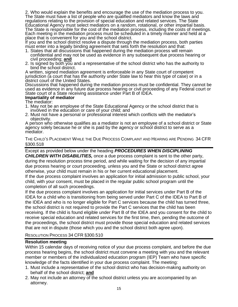2. Who would explain the benefits and encourage the use of the mediation process to you. The State must have a list of people who are qualified mediators and know the laws and regulations relating to the provision of special education and related services. The State Educational Agency must select mediators on a random, rotational, or other impartial basis. The State is responsible for the cost of the mediation process, including the costs of meetings. Each meeting in the mediation process must be scheduled in a timely manner and held at a place that is convenient for you and the school district.

If you and the school district resolve a dispute through the mediation process, both parties must enter into a legally binding agreement that sets forth the resolution and that:

- 1. States that all discussions that happened during the mediation process will remain confidential and may not be used as evidence in any subsequent due process hearing or civil proceeding; **and**
- 2. Is signed by both you and a representative of the school district who has the authority to bind the school district.

A written, signed mediation agreement is enforceable in any State court of competent jurisdiction (a court that has the authority under State law to hear this type of case) or in a district court of the United States.

Discussions that happened during the mediation process must be confidential. They cannot be used as evidence in any future due process hearing or civil proceeding of any Federal court or State court of a State receiving assistance under Part B of IDEA.

#### **Impartiality of mediator**

The mediator:

- 1. May not be an employee of the State Educational Agency or the school district that is involved in the education or care of your child; and
- 2. Must not have a personal or professional interest which conflicts with the mediator's objectivity.

A person who otherwise qualifies as a mediator is not an employee of a school district or State agency solely because he or she is paid by the agency or school district to serve as a mediator.

THE CHILD'S PLACEMENT WHILE THE DUE PROCESS COMPLAINT AND HEARING ARE PENDING 34 CFR §300.518

#### Except as provided below under the heading *PROCEDURES WHEN DISCIPLINING*

*CHILDREN WITH DISABILITIES,* once a due process complaint is sent to the other party, during the resolution process time period, and while waiting for the decision of any impartial due process hearing or court proceeding, unless you and the State or school district agree otherwise, your child must remain in his or her current educational placement.

If the due process complaint involves an application for initial admission to public school, your child, with your consent, must be placed in the regular public school program until the completion of all such proceedings.

If the due process complaint involves an application for initial services under Part B of the IDEA for a child who is transitioning from being served under Part C of the IDEA to Part B of the IDEA and who is no longer eligible for Part C services because the child has turned three, the school district is not required to provide the Part C services that the child has been receiving. If the child is found eligible under Part B of the IDEA and you consent for the child to receive special education and related services for the first time, then, pending the outcome of the proceedings, the school district must provide those special education and related services that are not in dispute (those which you and the school district both agree upon).

RESOLUTION PROCESS 34 CFR §300.510

#### **Resolution meeting**

Within 15 calendar days of receiving notice of your due process complaint, and before the due process hearing begins, the school district must convene a meeting with you and the relevant member or members of the individualized education program (IEP) Team who have specific knowledge of the facts identified in your due process complaint. The meeting:

- 1. Must include a representative of the school district who has decision-making authority on behalf of the school district; **and**
- 2. May not include an attorney of the school district unless you are accompanied by an attorney.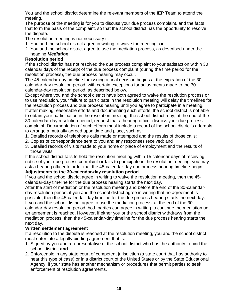You and the school district determine the relevant members of the IEP Team to attend the meeting.

The purpose of the meeting is for you to discuss your due process complaint, and the facts that form the basis of the complaint, so that the school district has the opportunity to resolve the dispute.

The resolution meeting is not necessary if:

1. You and the school district agree in writing to waive the meeting; **or**

2. You and the school district agree to use the mediation process, as described under the heading *Mediation*.

#### **Resolution period**

If the school district has not resolved the due process complaint to your satisfaction within 30 calendar days of the receipt of the due process complaint (during the time period for the resolution process), the due process hearing may occur.

The 45-calendar-day timeline for issuing a final decision begins at the expiration of the 30 calendar-day resolution period, with certain exceptions for adjustments made to the 30 calendar-day resolution period, as described below.

Except where you and the school district have both agreed to waive the resolution process or to use mediation, your failure to participate in the resolution meeting will delay the timelines for the resolution process and due process hearing until you agree to participate in a meeting. If after making reasonable efforts and documenting such efforts, the school district is not able to obtain your participation in the resolution meeting, the school district may, at the end of the 30-calendar-day resolution period, request that a hearing officer dismiss your due process complaint. Documentation of such efforts must include a record of the school district's attempts to arrange a mutually agreed upon time and place, such as:

- 1. Detailed records of telephone calls made or attempted and the results of those calls;
- 2. Copies of correspondence sent to you and any responses received; and
- 3. Detailed records of visits made to your home or place of employment and the results of those visits.

If the school district fails to hold the resolution meeting within 15 calendar days of receiving notice of your due process complaint **or** fails to participate in the resolution meeting, you may ask a hearing officer to order that the 45-calendar-day due process hearing timeline begin.

#### **Adjustments to the 30-calendar-day resolution period**

If you and the school district agree in writing to waive the resolution meeting, then the 45 calendar-day timeline for the due process hearing starts the next day.

After the start of mediation or the resolution meeting and before the end of the 30-calendarday resolution period, if you and the school district agree in writing that no agreement is possible, then the 45-calendar-day timeline for the due process hearing starts the next day. If you and the school district agree to use the mediation process, at the end of the 30 calendar-day resolution period, both parties can agree in writing to continue the mediation until an agreement is reached. However, if either you or the school district withdraws from the mediation process, then the 45-calendar-day timeline for the due process hearing starts the next day.

#### **Written settlement agreement**

If a resolution to the dispute is reached at the resolution meeting, you and the school district must enter into a legally binding agreement that is:

- 1. Signed by you and a representative of the school district who has the authority to bind the school district; **and**
- 2. Enforceable in any state court of competent jurisdiction (a state court that has authority to hear this type of case) or in a district court of the United States or by the State Educational Agency, if your state has another mechanism or procedures that permit parties to seek enforcement of resolution agreements.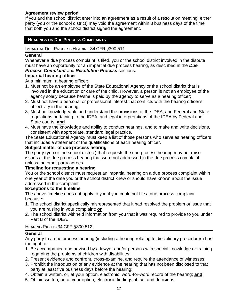#### **Agreement review period**

If you and the school district enter into an agreement as a result of a resolution meeting, either party (you or the school district) may void the agreement within 3 business days of the time that both you and the school district signed the agreement.

#### **HEARINGS ON DUE PROCESS COMPLAINTS**

#### IMPARTIAL DUE PROCESS HEARING 34 CFR §300.511

#### **General**

Whenever a due process complaint is filed, you or the school district involved in the dispute must have an opportunity for an impartial due process hearing, as described in the *Due Process Complaint* and *Resolution Process* sections.

#### **Impartial hearing officer**

At a minimum, a hearing officer:

- 1. Must not be an employee of the State Educational Agency or the school district that is involved in the education or care of the child. However, a person is not an employee of the agency solely because he/she is paid by the agency to serve as a hearing officer;
- 2. Must not have a personal or professional interest that conflicts with the hearing officer's objectivity in the hearing;
- 3. Must be knowledgeable and understand the provisions of the IDEA, and Federal and State regulations pertaining to the IDEA, and legal interpretations of the IDEA by Federal and State courts; **and**
- 4. Must have the knowledge and ability to conduct hearings, and to make and write decisions, consistent with appropriate, standard legal practice.

The State Educational Agency must keep a list of those persons who serve as hearing officers that includes a statement of the qualifications of each hearing officer.

#### **Subject matter of due process hearing**

The party (you or the school district) that requests the due process hearing may not raise issues at the due process hearing that were not addressed in the due process complaint, unless the other party agrees.

#### **Timeline for requesting a hearing**

You or the school district must request an impartial hearing on a due process complaint within one year of the date you or the school district knew or should have known about the issue addressed in the complaint.

#### **Exceptions to the timeline**

The above timeline does not apply to you if you could not file a due process complaint because:

- 1. The school district specifically misrepresented that it had resolved the problem or issue that you are raising in your complaint; **or**
- 2. The school district withheld information from you that it was required to provide to you under Part B of the IDEA.

#### HEARING RIGHTS 34 CFR §300.512

#### **General**

Any party to a due process hearing (including a hearing relating to disciplinary procedures) has the right to:

- 1. Be accompanied and advised by a lawyer and/or persons with special knowledge or training regarding the problems of children with disabilities;
- 2. Present evidence and confront, cross-examine, and require the attendance of witnesses;
- 3. Prohibit the introduction of any evidence at the hearing that has not been disclosed to that party at least five business days before the hearing;
- 4. Obtain a written, or, at your option, electronic, word-for-word record of the hearing; **and**
- 5. Obtain written, or, at your option, electronic findings of fact and decisions.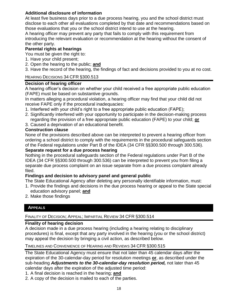#### **Additional disclosure of information**

At least five business days prior to a due process hearing, you and the school district must disclose to each other all evaluations completed by that date and recommendations based on those evaluations that you or the school district intend to use at the hearing.

A hearing officer may prevent any party that fails to comply with this requirement from introducing the relevant evaluation or recommendation at the hearing without the consent of the other party.

#### **Parental rights at hearings**

You must be given the right to:

- 1. Have your child present;
- 2. Open the hearing to the public; **and**

3. Have the record of the hearing, the findings of fact and decisions provided to you at no cost.

#### HEARING DECISIONS 34 CFR §300.513

#### **Decision of hearing officer**

A hearing officer's decision on whether your child received a free appropriate public education (FAPE) must be based on substantive grounds.

In matters alleging a procedural violation, a hearing officer may find that your child did not receive FAPE only if the procedural inadequacies:

- 1. Interfered with your child's right to a free appropriate public education (FAPE);
- 2. Significantly interfered with your opportunity to participate in the decision-making process regarding the provision of a free appropriate public education (FAPE) to your child; **or**
- 3. Caused a deprivation of an educational benefit.

#### **Construction clause**

None of the provisions described above can be interpreted to prevent a hearing officer from ordering a school district to comply with the requirements in the procedural safeguards section of the Federal regulations under Part B of the IDEA (34 CFR §§300.500 through 300.536).

#### **Separate request for a due process hearing**

Nothing in the procedural safeguards section of the Federal regulations under Part B of the IDEA (34 CFR §§300.500 through 300.536) can be interpreted to prevent you from filing a separate due process complaint on an issue separate from a due process complaint already filed.

#### **Findings and decision to advisory panel and general public**

The State Educational Agency after deleting any personally identifiable information, must:

- 1. Provide the findings and decisions in the due process hearing or appeal to the State special education advisory panel; **and**
- 2. Make those findings

#### **APPEALS**

#### FINALITY OF DECISION; APPEAL; IMPARTIAL REVIEW 34 CFR §300.514

#### **Finality of hearing decision**

A decision made in a due process hearing (including a hearing relating to disciplinary procedures) is final, except that any party involved in the hearing (you or the school district) may appeal the decision by bringing a civil action, as described below.

TIMELINES AND CONVENIENCE OF HEARING AND REVIEWS 34 CFR §300.515

The State Educational Agency must ensure that not later than 45 calendar days after the expiration of the 30-calendar-day period for resolution meetings **or**, as described under the sub-heading *Adjustments to the 30-calendar-day resolution period,* not later than 45 calendar days after the expiration of the adjusted time period:

- 1. A final decision is reached in the hearing; **and**
- 2. A copy of the decision is mailed to each of the parties.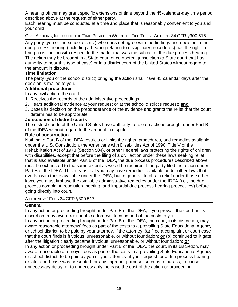A hearing officer may grant specific extensions of time beyond the 45-calendar-day time period described above at the request of either party.

Each hearing must be conducted at a time and place that is reasonably convenient to you and your child.

#### CIVIL ACTIONS, INCLUDING THE TIME PERIOD IN WHICH TO FILE THOSE ACTIONS 34 CFR §300.516

Any party (you or the school district) who does not agree with the findings and decision in the due process hearing (including a hearing relating to disciplinary procedures) has the right to bring a civil action with respect to the matter that was the subject of the due process hearing. The action may be brought in a State court of competent jurisdiction (a State court that has authority to hear this type of case) or in a district court of the United States without regard to the amount in dispute.

#### **Time limitation**

The party (you or the school district) bringing the action shall have 45 calendar days after the decision is mailed to you.

#### **Additional procedures**

In any civil action, the court:

- 1. Receives the records of the administrative proceedings;
- 2. Hears additional evidence at your request or at the school district's request; **and**
- 3. Bases its decision on the preponderance of the evidence and grants the relief that the court determines to be appropriate.

#### **Jurisdiction of district courts**

The district courts of the United States have authority to rule on actions brought under Part B of the IDEA without regard to the amount in dispute.

#### **Rule of construction**

Nothing in Part B of the IDEA restricts or limits the rights, procedures, and remedies available under the U.S. Constitution, the Americans with Disabilities Act of 1990, Title V of the Rehabilitation Act of 1973 (Section 504), or other Federal laws protecting the rights of children with disabilities, except that before the filing of a civil action under these laws seeking relief that is also available under Part B of the IDEA, the due process procedures described above must be exhausted to the same extent as would be required if the party filed the action under Part B of the IDEA. This means that you may have remedies available under other laws that overlap with those available under the IDEA, but in general, to obtain relief under those other laws, you must first use the available administrative remedies under the IDEA (i.e., the due process complaint, resolution meeting, and impartial due process hearing procedures) before going directly into court.

#### ATTORNEYS' FEES 34 CFR §300.517

#### **General**

In any action or proceeding brought under Part B of the IDEA, if you prevail, the court, in its discretion, may award reasonable attorneys' fees as part of the costs to you.

In any action or proceeding brought under Part B of the IDEA, the court, in its discretion, may award reasonable attorneys' fees as part of the costs to a prevailing State Educational Agency or school district, to be paid by your attorney, if the attorney: (a) filed a complaint or court case that the court finds is frivolous, unreasonable, or without foundation; **or** (b) continued to litigate after the litigation clearly became frivolous, unreasonable, or without foundation; **or** In any action or proceeding brought under Part B of the IDEA, the court, in its discretion, may award reasonable attorneys' fees as part of the costs to a prevailing State Educational Agency or school district, to be paid by you or your attorney, if your request for a due process hearing or later court case was presented for any improper purpose, such as to harass, to cause unnecessary delay, or to unnecessarily increase the cost of the action or proceeding.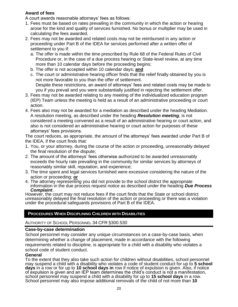#### **Award of fees**

A court awards reasonable attorneys' fees as follows:

- 1. Fees must be based on rates prevailing in the community in which the action or hearing arose for the kind and quality of services furnished. No bonus or multiplier may be used in calculating the fees awarded.
- 2. Fees may not be awarded and related costs may not be reimbursed in any action or proceeding under Part B of the IDEA for services performed after a written offer of settlement to you if:
	- a. The offer is made within the time prescribed by Rule 68 of the Federal Rules of Civil Procedure or, in the case of a due process hearing or State-level review, at any time more than 10 calendar days before the proceeding begins;
	- b. The offer is not accepted within 10 calendar days; **and**
	- c. The court or administrative hearing officer finds that the relief finally obtained by you is not more favorable to you than the offer of settlement. Despite these restrictions, an award of attorneys' fees and related costs may be made to you if you prevail and you were substantially justified in rejecting the settlement offer.
- 3. Fees may not be awarded relating to any meeting of the individualized education program (IEP) Team unless the meeting is held as a result of an administrative proceeding or court action.
- 4. Fees also may not be awarded for a mediation as described under the heading Mediation. A resolution meeting, as described under the heading *Resolution meeting*, is not considered a meeting convened as a result of an administrative hearing or court action, and also is not considered an administrative hearing or court action for purposes of these attorneys' fees provisions.

The court reduces, as appropriate, the amount of the attorneys' fees awarded under Part B of the IDEA, if the court finds that:

- 1. You, or your attorney, during the course of the action or proceeding, unreasonably delayed the final resolution of the dispute;
- 2. The amount of the attorneys' fees otherwise authorized to be awarded unreasonably exceeds the hourly rate prevailing in the community for similar services by attorneys of reasonably similar skill, reputation, and experience;
- 3. The time spent and legal services furnished were excessive considering the nature of the action or proceeding; **or**
- 4. The attorney representing you did not provide to the school district the appropriate information in the due process request notice as described under the heading *Due Process Complaint*.

However, the court may not reduce fees if the court finds that the State or school district unreasonably delayed the final resolution of the action or proceeding or there was a violation under the procedural safeguards provisions of Part B of the IDEA.

#### **PROCEDURES WHEN DISCIPLINING CHILDREN WITH DISABILITIES**

#### AUTHORITY OF SCHOOL PERSONNEL 34 CFR §300.530

#### **Case-by-case determination**

School personnel may consider any unique circumstances on a case-by-case basis, when determining whether a change of placement, made in accordance with the following requirements related to discipline, is appropriate for a child with a disability who violates a school code of student conduct.

#### **General**

To the extent that they also take such action for children without disabilities, school personnel may suspend a child with a disability who violates a code of student conduct for up to **5 school days** in a row or for up to **10 school days in** row if notice of expulsion is given. Also, if notice of expulsion is given and an IEP team determines the child's conduct is not a manifestation, school personnel may suspend a child with a disability for up to **15 school days** in a row. School personnel may also impose additional removals of the child of not more than 10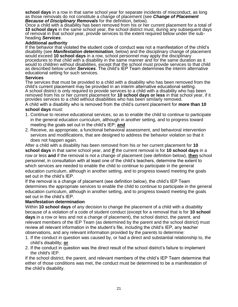**school days** in a row in that same school year for separate incidents of misconduct, as long as those removals do not constitute a change of placement (see *Change of Placement Because of Disciplinary Removals* for the definition, below).

Once a child with a disability has been removed from his or her current placement for a total of **10 school days** in the same school year, the school district must, during any subsequent days of removal in that school year, provide services to the extent required below under the subheading *Services*.

#### **Additional authority**

If the behavior that violated the student code of conduct was not a manifestation of the child's disability (see *Manifestation determination*, below) and the disciplinary change of placement would exceed **10 school days** in a row, school personnel may apply the disciplinary procedures to that child with a disability in the same manner and for the same duration as it would to children without disabilities, except that the school must provide services to that child as described below under *Services*. The child's IEP Team determines the interim alternative educational setting for such services.

#### **Services**

The services that must be provided to a child with a disability who has been removed from the child's current placement may be provided in an interim alternative educational setting. A school district is only required to provide services to a child with a disability who has been removed from his or her current placement for **10 school days or less** in that school year, if it provides services to a child without disabilities who has been similarly removed.

A child with a disability who is removed from the child's current placement for **more than 10 school days** must:

- 1. Continue to receive educational services, so as to enable the child to continue to participate in the general education curriculum, although in another setting, and to progress toward meeting the goals set out in the child's IEP; **and**
- 2. Receive, as appropriate, a functional behavioral assessment, and behavioral intervention services and modifications, that are designed to address the behavior violation so that it does not happen again.

After a child with a disability has been removed from his or her current placement for **10 school days** in that same school year, and **if** the current removal is for **10 school days** in a row or less **and** if the removal is not a change of placement (see definition below), **then** school personnel, in consultation with at least one of the child's teachers, determine the extent to which services are needed to enable the child to continue to participate in the general education curriculum, although in another setting, and to progress toward meeting the goals set out in the child's IEP.

If the removal is a change of placement (see definition below), the child's IEP Team determines the appropriate services to enable the child to continue to participate in the general education curriculum, although in another setting, and to progress toward meeting the goals set out in the child's IEP.

#### **Manifestation determination**

Within **10 school days** of any decision to change the placement of a child with a disability because of a violation of a code of student conduct (except for a removal that is for **10 school days** in a row or less and not a change of placement), the school district, the parent, and relevant members of the IEP Team (as determined by the parent and the school district) must review all relevant information in the student's file, including the child's IEP, any teacher observations, and any relevant information provided by the parents to determine:

- 1. If the conduct in question was caused by, or had a direct and substantial relationship to, the child's disability; **or**
- 2. If the conduct in question was the direct result of the school district's failure to implement the child's IEP.

If the school district, the parent, and relevant members of the child's IEP Team determine that either of those conditions was met, the conduct must be determined to be a manifestation of the child's disability.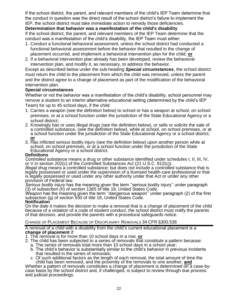If the school district, the parent, and relevant members of the child's IEP Team determine that the conduct in question was the direct result of the school district's failure to implement the IEP, the school district must take immediate action to remedy those deficiencies.

#### **Determination that behavior was a manifestation of the child's disability**

If the school district, the parent, and relevant members of the IEP Team determine that the conduct was a manifestation of the child's disability, the IEP Team must either:

- 1. Conduct a functional behavioral assessment, unless the school district had conducted a functional behavioral assessment before the behavior that resulted in the change of placement occurred, and implement a behavioral intervention plan for the child; **or**
- 2. If a behavioral intervention plan already has been developed, review the behavioral intervention plan, and modify it, as necessary, to address the behavior.

Except as described below under the sub-heading *Special circumstances*, the school district must return the child to the placement from which the child was removed, unless the parent and the district agree to a change of placement as part of the modification of the behavioral intervention plan.

#### **Special circumstances**

Whether or not the behavior was a manifestation of the child's disability, school personnel may remove a student to an interim alternative educational setting (determined by the child's IEP Team) for up to 45 school days, if the child:

- 1. Carries a weapon (see the definition below) to school or has a weapon at school, on school premises, or at a school function under the jurisdiction of the State Educational Agency or a school district;
- 2. Knowingly has or uses illegal drugs (see the definition below), or sells or solicits the sale of a controlled substance, (see the definition below), while at school, on school premises, or at a school function under the jurisdiction of the State Educational Agency or a school district; **or**
- 3. Has inflicted serious bodily injury (see the definition below) upon another person while at school, on school premises, or at a school function under the jurisdiction of the State Educational Agency or a school district.

#### **Definitions**

*Controlled substance* means a drug or other substance identified under schedules I, II, III, IV, or V in section 202(c) of the Controlled Substances Act (21 U.S.C. 812(c)).

*Illegal drug* means a controlled substance; but does not include a controlled substance that is legally possessed or used under the supervision of a licensed health-care professional or that is legally possessed or used under any other authority under that Act or under any other provision of Federal law.

Serious bodily injury has the meaning given the term "serious bodily injury" under paragraph (3) of subsection (h) of section 1365 of title 18, United States Code.

Weapon has the meaning given the term "dangerous weapon" under paragraph (2) of the first subsection (g) of section 930 of title 18, United States Code.

#### **Notification**

On the date it makes the decision to make a removal that is a change of placement of the child because of a violation of a code of student conduct, the school district must notify the parents of that decision, and provide the parents with a procedural safeguards notice.

#### CHANGE OF PLACEMENT BECAUSE OF DISCIPLINARY REMOVALS 34 CFR §300.536

A removal of a child with a disability from the child's current educational placement is a **change of placement** if:

- 1. The removal is for more than 10 school days in a row; **or**
- 2. The child has been subjected to a series of removals that constitute a pattern because:
	- a. The series of removals total more than 10 school days in a school year;
	- b. The child's behavior is substantially similar to the child's behavior in previous incidents that resulted in the series of removals;
	- c. Of such additional factors as the length of each removal, the total amount of time the child has been removed, and the proximity of the removals to one another; **and**

Whether a pattern of removals constitutes a change of placement is determined on a case-bycase basis by the school district and, if challenged, is subject to review through due process and judicial proceedings.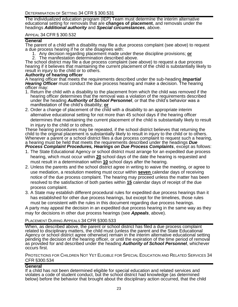The individualized education program (IEP) Team must determine the interim alternative educational setting for removals that are **changes of placement**, and removals under the headings *Additional authority* and *Special circumstances*, above.

#### APPEAL 34 CFR § 300.532

#### **General**

The parent of a child with a disability may file a due process complaint (see above) to request a due process hearing if he or she disagrees with:

1. Any decision regarding placement made under these discipline provisions; **or** 2. The manifestation determination described above.

The school district may file a due process complaint (see above) to request a due process hearing if it believes that maintaining the current placement of the child is substantially likely to result in injury to the child or to others.

#### **Authority of hearing officer**

A hearing officer that meets the requirements described under the sub-heading *Impartial*  **Hearing Officer** must conduct the due process hearing and make a decision. The hearing officer may:

- 1. Return the child with a disability to the placement from which the child was removed if the hearing officer determines that the removal was a violation of the requirements described under the heading *Authority of School Personnel*, or that the child's behavior was a manifestation of the child's disability; **or**
- 2. Order a change of placement of the child with a disability to an appropriate interim alternative educational setting for not more than 45 school days if the hearing officer determines that maintaining the current placement of the child is substantially likely to result in injury to the child or to others.

These hearing procedures may be repeated, if the school district believes that returning the child to the original placement is substantially likely to result in injury to the child or to others. Whenever a parent or a school district files a due process complaint to request such a hearing, a hearing must be held that meets the requirements described under the headings *Due* 

*Process Complaint Procedures, Hearings on Due Process Complaints*, except as follows:

- 1. The State Educational Agency or school district must arrange for an expedited due process hearing, which must occur within **20** school days of the date the hearing is requested and must result in a determination within **10** school days after the hearing.
- 2. Unless the parents and the school district agree in writing to waive the meeting, or agree to use mediation, a resolution meeting must occur within **seven** calendar days of receiving notice of the due process complaint. The hearing may proceed unless the matter has been resolved to the satisfaction of both parties within **15** calendar days of receipt of the due process complaint.
- 3. A State may establish different procedural rules for expedited due process hearings than it has established for other due process hearings, but except for the timelines, those rules must be consistent with the rules in this document regarding due process hearings.

A party may appeal the decision in an expedited due process hearing in the same way as they may for decisions in other due process hearings (see *Appeals*, above).

#### PLACEMENT DURING APPEALS 34 CFR §300.533

When, as described above, the parent or school district has filed a due process complaint related to disciplinary matters, the child must (unless the parent and the State Educational Agency or school district agree otherwise) remain in the interim alternative educational setting pending the decision of the hearing officer, or until the expiration of the time period of removal as provided for and described under the heading *Authority of School Personnel*, whichever occurs first.

PROTECTIONS FOR CHILDREN NOT YET ELIGIBLE FOR SPECIAL EDUCATION AND RELATED SERVICES 34 CFR §300.534

#### **General**

If a child has not been determined eligible for special education and related services and violates a code of student conduct, but the school district had knowledge (as determined below) before the behavior that brought about the disciplinary action occurred, that the child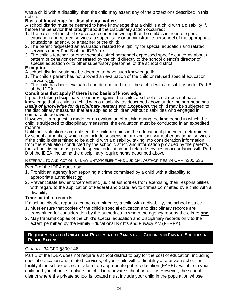was a child with a disability, then the child may assert any of the protections described in this notice.

#### **Basis of knowledge for disciplinary matters**

A school district must be deemed to have knowledge that a child is a child with a disability if, before the behavior that brought about the disciplinary action occurred:

- 1. The parent of the child expressed concern in writing that the child is in need of special education and related services to supervisory or administrative personnel of the appropriate educational agency, or a teacher of the child;
- 2. The parent requested an evaluation related to eligibility for special education and related services under Part B of the IDEA; **or**
- 3. The child's teacher, or other school district personnel expressed specific concerns about a pattern of behavior demonstrated by the child directly to the school district's director of special education or to other supervisory personnel of the school district.

#### **Exception**

A school district would not be deemed to have such knowledge if:

- 1. The child's parent has not allowed an evaluation of the child or refused special education services; **or**
- 2. The child has been evaluated and determined to not be a child with a disability under Part B of the IDEA.

#### **Conditions that apply if there is no basis of knowledge**

If prior to taking disciplinary measures against the child, a school district does not have knowledge that a child is a child with a disability, as described above under the sub-headings *Basis of knowledge for disciplinary matters* and *Exception*, the child may be subjected to the disciplinary measures that are applied to children without disabilities who engaged in comparable behaviors.

However, if a request is made for an evaluation of a child during the time period in which the child is subjected to disciplinary measures, the evaluation must be conducted in an expedited manner.

Until the evaluation is completed, the child remains in the educational placement determined by school authorities, which can include suspension or expulsion without educational services. If the child is determined to be a child with a disability, taking into consideration information from the evaluation conducted by the school district, and information provided by the parents, the school district must provide special education and related services in accordance with Part B of the IDEA, including the disciplinary requirements described above.

#### REFERRAL TO AND ACTION BY LAW ENFORCEMENT AND JUDICIAL AUTHORITIES 34 CFR §300.535

#### Part B of the IDEA does not:

- 1. Prohibit an agency from reporting a crime committed by a child with a disability to appropriate authorities; **or**
- 2. Prevent State law enforcement and judicial authorities from exercising their responsibilities with regard to the application of Federal and State law to crimes committed by a child with a disability.

#### **Transmittal of records**

If a school district reports a crime committed by a child with a disability, the school district:

- 1. Must ensure that copies of the child's special education and disciplinary records are transmitted for consideration by the authorities to whom the agency reports the crime; **and**
- 2. May transmit copies of the child's special education and disciplinary records only to the extent permitted by the Family Educational Rights and Privacy Act (FERPA).

#### **REQUIREMENTS FOR UNILATERAL PLACEMENT BY PARENTS OF CHILDREN IN PRIVATE SCHOOLS AT PUBLIC EXPENSE**

#### GENERAL 34 CFR §300.148

Part B of the IDEA does not require a school district to pay for the cost of education, including special education and related services, of your child with a disability at a private school or facility if the school district made a free appropriate public education (FAPE) available to your child and you choose to place the child in a private school or facility. However, the school district where the private school is located must include your child in the population whose